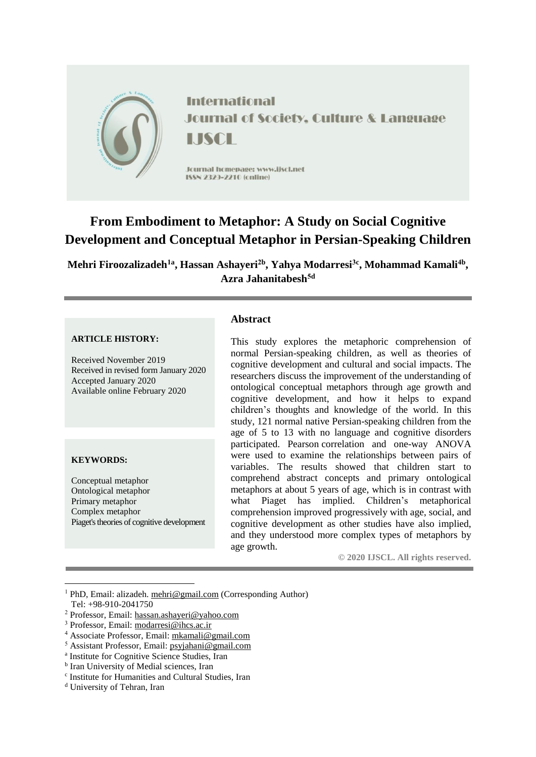

# **From Embodiment to Metaphor: A Study on Social Cognitive Development and Conceptual Metaphor in Persian-Speaking Children**

**Mehri Firoozalizadeh1a , Hassan Ashayeri2b , Yahya Modarresi3c , Mohammad Kamali4b , Azra Jahanitabesh5d**

#### **ARTICLE HISTORY:**

Received November 2019 Received in revised form January 2020 Accepted January 2020 Available online February 2020

#### **KEYWORDS:**

1

Conceptual metaphor Ontological metaphor Primary metaphor Complex metaphor Piaget's theories of cognitive development

# **Abstract**

This study explores the metaphoric comprehension of normal Persian-speaking children, as well as theories of cognitive development and cultural and social impacts. The researchers discuss the improvement of the understanding of ontological conceptual metaphors through age growth and cognitive development, and how it helps to expand children's thoughts and knowledge of the world. In this study, 121 normal native Persian-speaking children from the age of 5 to 13 with no language and cognitive disorders participated. Pearson correlation and one-way ANOVA were used to examine the relationships between pairs of variables. The results showed that children start to comprehend abstract concepts and primary ontological metaphors at about 5 years of age, which is in contrast with what Piaget has implied. Children's metaphorical comprehension improved progressively with age, social, and cognitive development as other studies have also implied, and they understood more complex types of metaphors by age growth.

**© 2020 IJSCL. All rights reserved.**

<sup>&</sup>lt;sup>1</sup> PhD, Email: alizadeh. [mehri@gmail.com](mailto:mehri@gmail.com) (Corresponding Author) Tel: +98-910-2041750

<sup>2</sup> Professor, Email: [hassan.ashayeri@yahoo.com](mailto:hassan.ashayeri@yahoo.com)

<sup>3</sup> Professor, Email: [modarresi@ihcs.ac.ir](mailto:modarresi@ihcs.ac.ir)

<sup>4</sup> Associate Professor, Email: [mkamali@gmail.com](mailto:mkamali@gmail.com)

<sup>5</sup> Assistant Professor, Email: [psyjahani@gmail.com](mailto:psyjahani@gmail.com)

a Institute for Cognitive Science Studies, Iran

**b** Iran University of Medial sciences, Iran

c Institute for Humanities and Cultural Studies, Iran

<sup>d</sup> University of Tehran, Iran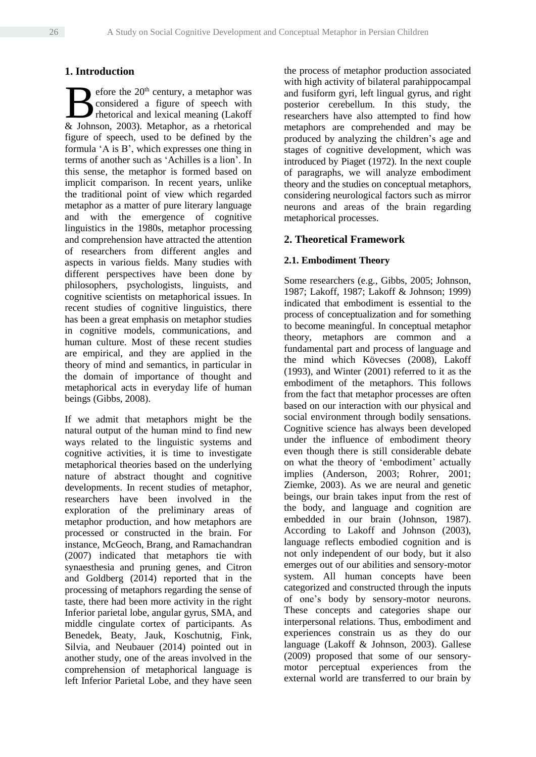# **1. Introduction**

efore the 20<sup>th</sup> century, a metaphor was considered a figure of speech with rhetorical and lexical meaning (Lakoff Efore the 20<sup>th</sup> century, a metaphor was<br>considered a figure of speech with<br>thetorical and lexical meaning (Lakoff<br>& Johnson, 2003). Metaphor, as a rhetorical figure of speech, used to be defined by the formula 'A is B', which expresses one thing in terms of another such as 'Achilles is a lion'. In this sense, the metaphor is formed based on implicit comparison. In recent years, unlike the traditional point of view which regarded metaphor as a matter of pure literary language and with the emergence of cognitive linguistics in the 1980s, metaphor processing and comprehension have attracted the attention of researchers from different angles and aspects in various fields. Many studies with different perspectives have been done by philosophers, psychologists, linguists, and cognitive scientists on metaphorical issues. In recent studies of cognitive linguistics, there has been a great emphasis on metaphor studies in cognitive models, communications, and human culture. Most of these recent studies are empirical, and they are applied in the theory of mind and semantics, in particular in the domain of importance of thought and metaphorical acts in everyday life of human beings (Gibbs, 2008).

If we admit that metaphors might be the natural output of the human mind to find new ways related to the linguistic systems and cognitive activities, it is time to investigate metaphorical theories based on the underlying nature of abstract thought and cognitive developments. In recent studies of metaphor, researchers have been involved in the exploration of the preliminary areas of metaphor production, and how metaphors are processed or constructed in the brain. For instance, McGeoch, Brang, and Ramachandran (2007) indicated that metaphors tie with synaesthesia and pruning genes, and Citron and Goldberg (2014) reported that in the processing of metaphors regarding the sense of taste, there had been more activity in the right Inferior parietal lobe, angular gyrus, SMA, and middle cingulate cortex of participants. As Benedek, Beaty, Jauk, Koschutnig, Fink, Silvia, and Neubauer (2014) pointed out in another study, one of the areas involved in the comprehension of metaphorical language is left Inferior Parietal Lobe, and they have seen the process of metaphor production associated with high activity of bilateral parahippocampal and fusiform gyri, left lingual gyrus, and right posterior cerebellum. In this study, the researchers have also attempted to find how metaphors are comprehended and may be produced by analyzing the children's age and stages of cognitive development, which was introduced by Piaget (1972). In the next couple of paragraphs, we will analyze embodiment theory and the studies on conceptual metaphors, considering neurological factors such as mirror neurons and areas of the brain regarding metaphorical processes.

# **2. Theoretical Framework**

# **2.1. Embodiment Theory**

Some researchers (e.g., Gibbs, 2005; Johnson, 1987; Lakoff, 1987; Lakoff & Johnson; 1999) indicated that embodiment is essential to the process of conceptualization and for something to become meaningful. In conceptual metaphor theory, metaphors are common and a fundamental part and process of language and the mind which Kövecses (2008), Lakoff (1993), and Winter (2001) referred to it as the embodiment of the metaphors. This follows from the fact that metaphor processes are often based on our interaction with our physical and social environment through bodily sensations. Cognitive science has always been developed under the influence of embodiment theory even though there is still considerable debate on what the theory of 'embodiment' actually implies (Anderson, 2003; Rohrer, 2001; Ziemke, 2003). As we are neural and genetic beings, our brain takes input from the rest of the body, and language and cognition are embedded in our brain (Johnson, 1987). According to Lakoff and Johnson (2003), language reflects embodied cognition and is not only independent of our body, but it also emerges out of our abilities and sensory-motor system. All human concepts have been categorized and constructed through the inputs of one's body by sensory-motor neurons. These concepts and categories shape our interpersonal relations. Thus, embodiment and experiences constrain us as they do our language (Lakoff & Johnson, 2003). Gallese (2009) proposed that some of our sensorymotor perceptual experiences from the external world are transferred to our brain by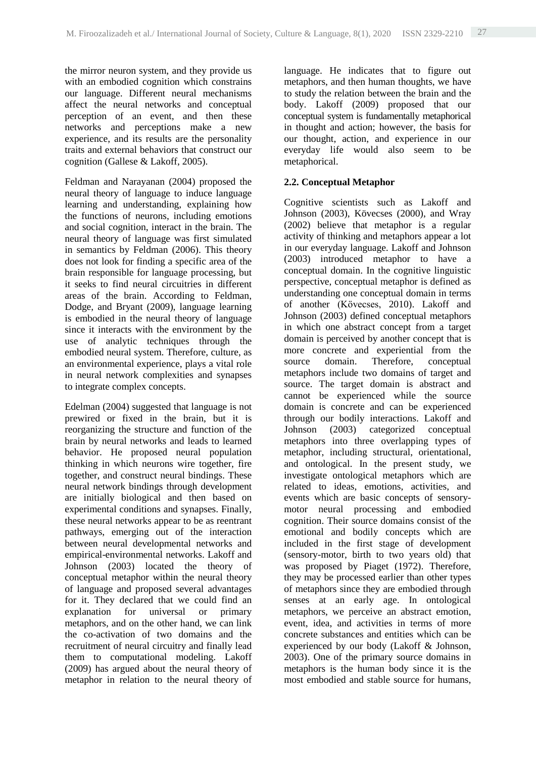the mirror neuron system, and they provide us with an embodied cognition which constrains our language. Different neural mechanisms affect the neural networks and conceptual perception of an event, and then these networks and perceptions make a new experience, and its results are the personality traits and external behaviors that construct our cognition (Gallese & Lakoff, 2005).

Feldman and Narayanan (2004) proposed the neural theory of language to induce language learning and understanding, explaining how the functions of neurons, including emotions and social cognition, interact in the brain. The neural theory of language was first simulated in semantics by Feldman (2006). This theory does not look for finding a specific area of the brain responsible for language processing, but it seeks to find neural circuitries in different areas of the brain. According to Feldman, Dodge, and Bryant (2009), language learning is embodied in the neural theory of language since it interacts with the environment by the use of analytic techniques through the embodied neural system. Therefore, culture, as an environmental experience, plays a vital role in neural network complexities and synapses to integrate complex concepts.

Edelman (2004) suggested that language is not prewired or fixed in the brain, but it is reorganizing the structure and function of the brain by neural networks and leads to learned behavior. He proposed neural population thinking in which neurons wire together, fire together, and construct neural bindings. These neural network bindings through development are initially biological and then based on experimental conditions and synapses. Finally, these neural networks appear to be as reentrant pathways, emerging out of the interaction between neural developmental networks and empirical-environmental networks. Lakoff and Johnson (2003) located the theory of conceptual metaphor within the neural theory of language and proposed several advantages for it. They declared that we could find an explanation for universal or primary metaphors, and on the other hand, we can link the co-activation of two domains and the recruitment of neural circuitry and finally lead them to computational modeling. Lakoff (2009) has argued about the neural theory of metaphor in relation to the neural theory of language. He indicates that to figure out metaphors, and then human thoughts, we have to study the relation between the brain and the body. Lakoff (2009) proposed that our conceptual system is fundamentally metaphorical in thought and action; however, the basis for our thought, action, and experience in our everyday life would also seem to be metaphorical.

# **2.2. Conceptual Metaphor**

Cognitive scientists such as Lakoff and Johnson (2003), Kövecses (2000), and Wray (2002) believe that metaphor is a regular activity of thinking and metaphors appear a lot in our everyday language. Lakoff and Johnson (2003) introduced metaphor to have a conceptual domain. In the cognitive linguistic perspective, conceptual metaphor is defined as understanding one conceptual domain in terms of another (Kӧvecses, 2010). Lakoff and Johnson (2003) defined conceptual metaphors in which one abstract concept from a target domain is perceived by another concept that is more concrete and experiential from the source domain. Therefore, conceptual metaphors include two domains of target and source. The target domain is abstract and cannot be experienced while the source domain is concrete and can be experienced through our bodily interactions. Lakoff and Johnson (2003) categorized conceptual metaphors into three overlapping types of metaphor, including structural, orientational, and ontological. In the present study, we investigate ontological metaphors which are related to ideas, emotions, activities, and events which are basic concepts of sensorymotor neural processing and embodied cognition. Their source domains consist of the emotional and bodily concepts which are included in the first stage of development (sensory-motor, birth to two years old) that was proposed by Piaget (1972). Therefore, they may be processed earlier than other types of metaphors since they are embodied through senses at an early age. In ontological metaphors, we perceive an abstract emotion, event, idea, and activities in terms of more concrete substances and entities which can be experienced by our body (Lakoff & Johnson, 2003). One of the primary source domains in metaphors is the human body since it is the most embodied and stable source for humans,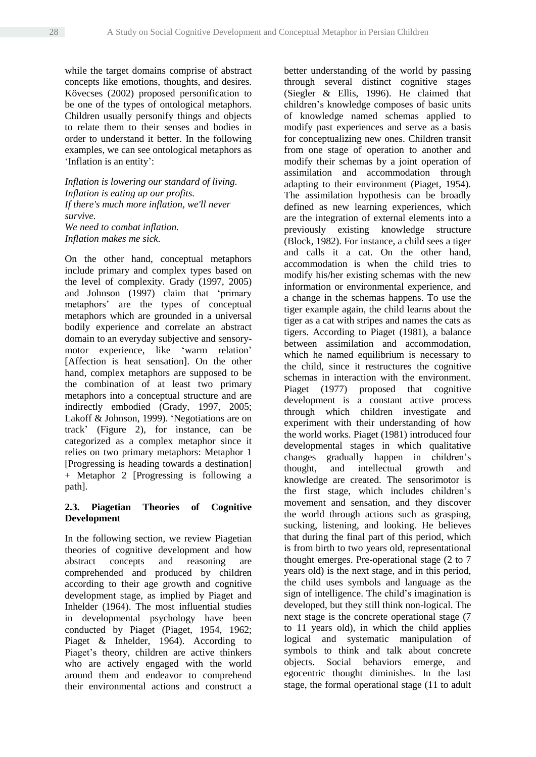while the target domains comprise of abstract concepts like emotions, thoughts, and desires. Kövecses (2002) proposed personification to be one of the types of ontological metaphors. Children usually personify things and objects to relate them to their senses and bodies in order to understand it better. In the following examples, we can see ontological metaphors as 'Inflation is an entity':

*Inflation is lowering our standard of living. Inflation is eating up our profits. If there's much more inflation, we'll never survive. We need to combat inflation. Inflation makes me sick.*

On the other hand, conceptual metaphors include primary and complex types based on the level of complexity. Grady (1997, 2005) and Johnson (1997) claim that 'primary metaphors' are the types of conceptual metaphors which are grounded in a universal bodily experience and correlate an abstract domain to an everyday subjective and sensorymotor experience, like 'warm relation' [Affection is heat sensation]. On the other hand, complex metaphors are supposed to be the combination of at least two primary metaphors into a conceptual structure and are indirectly embodied (Grady, 1997, 2005; Lakoff & Johnson, 1999). 'Negotiations are on track' (Figure 2), for instance, can be categorized as a complex metaphor since it relies on two primary metaphors: Metaphor 1 [Progressing is heading towards a destination] + Metaphor 2 [Progressing is following a path].

# **2.3. Piagetian Theories of Cognitive Development**

In the following section, we review Piagetian theories of cognitive development and how abstract concepts and reasoning are comprehended and produced by children according to their age growth and cognitive development stage, as implied by Piaget and Inhelder (1964). The most influential studies in developmental psychology have been conducted by Piaget (Piaget, 1954, 1962; Piaget & Inhelder, 1964). According to Piaget's theory, children are active thinkers who are actively engaged with the world around them and endeavor to comprehend their environmental actions and construct a

better understanding of the world by passing through several distinct cognitive stages (Siegler & Ellis, 1996). He claimed that children's knowledge composes of basic units of knowledge named schemas applied to modify past experiences and serve as a basis for conceptualizing new ones. Children transit from one stage of operation to another and modify their schemas by a joint operation of assimilation and accommodation through adapting to their environment (Piaget, 1954). The assimilation hypothesis can be broadly defined as new learning experiences, which are the integration of external elements into a previously existing knowledge structure (Block, 1982). For instance, a child sees a tiger and calls it a cat. On the other hand, accommodation is when the child tries to modify his/her existing schemas with the new information or environmental experience, and a change in the schemas happens. To use the tiger example again, the child learns about the tiger as a cat with stripes and names the cats as tigers. According to Piaget (1981), a balance between assimilation and accommodation, which he named equilibrium is necessary to the child, since it restructures the cognitive schemas in interaction with the environment. Piaget (1977) proposed that cognitive development is a constant active process through which children investigate and experiment with their understanding of how the world works. Piaget (1981) introduced four developmental stages in which qualitative changes gradually happen in children's thought, and intellectual growth and knowledge are created. The sensorimotor is the first stage, which includes children's movement and sensation, and they discover the world through actions such as grasping, sucking, listening, and looking. He believes that during the final part of this period, which is from birth to two years old, representational thought emerges. Pre-operational stage (2 to 7 years old) is the next stage, and in this period, the child uses symbols and language as the sign of intelligence. The child's imagination is developed, but they still think non-logical. The next stage is the concrete operational stage (7 to 11 years old), in which the child applies logical and systematic manipulation of symbols to think and talk about concrete objects. Social behaviors emerge, and egocentric thought diminishes. In the last stage, the formal operational stage (11 to adult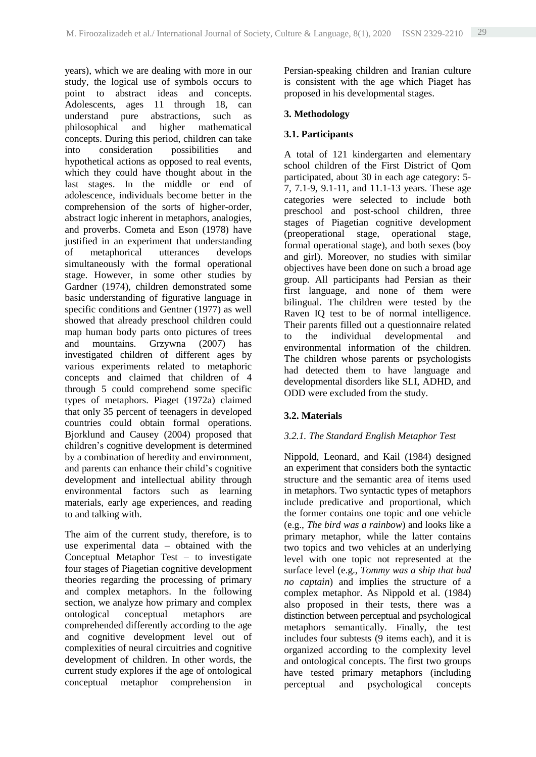years), which we are dealing with more in our study, the logical use of symbols occurs to point to abstract ideas and concepts. Adolescents, ages 11 through 18, can understand pure abstractions, such as philosophical and higher mathematical concepts. During this period, children can take into consideration possibilities and hypothetical actions as opposed to real events, which they could have thought about in the last stages. In the middle or end of adolescence, individuals become better in the comprehension of the sorts of higher-order, abstract logic inherent in metaphors, analogies, and proverbs. Cometa and Eson (1978) have justified in an experiment that understanding of metaphorical utterances develops simultaneously with the formal operational stage. However, in some other studies by Gardner (1974), children demonstrated some basic understanding of figurative language in specific conditions and Gentner (1977) as well showed that already preschool children could map human body parts onto pictures of trees and mountains. Grzywna (2007) has investigated children of different ages by various experiments related to metaphoric concepts and claimed that children of 4 through 5 could comprehend some specific types of metaphors. Piaget (1972a) claimed that only 35 percent of teenagers in developed countries could obtain formal operations. Bjorklund and Causey (2004) proposed that children's cognitive development is determined by a combination of heredity and environment, and parents can enhance their child's cognitive development and intellectual ability through environmental factors such as learning materials, early age experiences, and reading to and talking with.

The aim of the current study, therefore, is to use experimental data – obtained with the Conceptual Metaphor Test – to investigate four stages of Piagetian cognitive development theories regarding the processing of primary and complex metaphors. In the following section, we analyze how primary and complex ontological conceptual metaphors are comprehended differently according to the age and cognitive development level out of complexities of neural circuitries and cognitive development of children. In other words, the current study explores if the age of ontological conceptual metaphor comprehension in Persian-speaking children and Iranian culture is consistent with the age which Piaget has proposed in his developmental stages.

# **3. Methodology**

# **3.1. Participants**

A total of 121 kindergarten and elementary school children of the First District of Qom participated, about 30 in each age category: 5- 7, 7.1-9, 9.1-11, and 11.1-13 years. These age categories were selected to include both preschool and post-school children, three stages of Piagetian cognitive development (preoperational stage, operational stage, formal operational stage), and both sexes (boy and girl). Moreover, no studies with similar objectives have been done on such a broad age group. All participants had Persian as their first language, and none of them were bilingual. The children were tested by the Raven IQ test to be of normal intelligence. Their parents filled out a questionnaire related to the individual developmental and environmental information of the children. The children whose parents or psychologists had detected them to have language and developmental disorders like SLI, ADHD, and ODD were excluded from the study.

# **3.2. Materials**

# *3.2.1. The Standard English Metaphor Test*

Nippold, Leonard, and Kail (1984) designed an experiment that considers both the syntactic structure and the semantic area of items used in metaphors. Two syntactic types of metaphors include predicative and proportional, which the former contains one topic and one vehicle (e.g., *The bird was a rainbow*) and looks like a primary metaphor, while the latter contains two topics and two vehicles at an underlying level with one topic not represented at the surface level (e.g., *Tommy was a ship that had no captain*) and implies the structure of a complex metaphor. As Nippold et al. (1984) also proposed in their tests, there was a distinction between perceptual and psychological metaphors semantically. Finally, the test includes four subtests (9 items each), and it is organized according to the complexity level and ontological concepts. The first two groups have tested primary metaphors (including perceptual and psychological concepts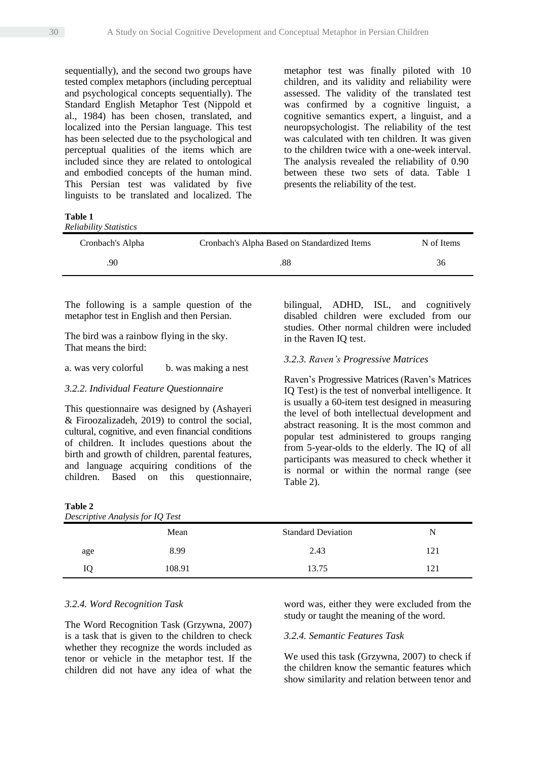sequentially), and the second two groups have tested complex metaphors (including perceptual and psychological concepts sequentially). The Standard English Metaphor Test (Nippold et al., 1984) has been chosen, translated, and localized into the Persian language. This test has been selected due to the psychological and perceptual qualities of the items which are included since they are related to ontological and embodied concepts of the human mind. This Persian test was validated by five linguists to be translated and localized. The

metaphor test was finally piloted with 10 children, and its validity and reliability were assessed. The validity of the translated test was confirmed by a cognitive linguist, a cognitive semantics expert, a linguist, and a neuropsychologist. The reliability of the test was calculated with ten children. It was given to the children twice with a one-week interval. The analysis revealed the reliability of 0.90 between these two sets of data. Table 1 presents the reliability of the test.

**Table 1** *Reliability Statistics*

**Table 2**

| Cronbach's Alpha | Cronbach's Alpha Based on Standardized Items | N of Items |
|------------------|----------------------------------------------|------------|
| 90               | .88                                          | 36         |

The following is a sample question of the metaphor test in English and then Persian.

The bird was a rainbow flying in the sky. That means the bird:

#### a. was very colorful b. was making a nest

#### *3.2.2. Individual Feature Questionnaire*

This questionnaire was designed by (Ashayeri & Firoozalizadeh, 2019) to control the social, cultural, cognitive, and even financial conditions of children. It includes questions about the birth and growth of children, parental features, and language acquiring conditions of the children. Based on this questionnaire, bilingual, ADHD, ISL, and cognitively disabled children were excluded from our studies. Other normal children were included in the Raven IQ test.

#### *3.2.3. Raven's Progressive Matrices*

Raven's Progressive Matrices (Raven's Matrices IQ Test) is the test of nonverbal intelligence. It is usually a 60-item test designed in measuring the level of both intellectual development and abstract reasoning. It is the most common and popular test administered to groups ranging from 5-year-olds to the elderly. The IQ of all participants was measured to check whether it is normal or within the normal range (see Table 2).

| Tavit 4<br>Descriptive Analysis for IQ Test |        |                           |     |  |  |  |
|---------------------------------------------|--------|---------------------------|-----|--|--|--|
|                                             | Mean   | <b>Standard Deviation</b> | N   |  |  |  |
| age                                         | 8.99   | 2.43                      | 121 |  |  |  |
| Ю                                           | 108.91 | 13.75                     | 121 |  |  |  |
|                                             |        |                           |     |  |  |  |

#### *3.2.4. Word Recognition Task*

The Word Recognition Task (Grzywna, 2007) is a task that is given to the children to check whether they recognize the words included as tenor or vehicle in the metaphor test. If the children did not have any idea of what the

word was, either they were excluded from the study or taught the meaning of the word.

#### *3.2.4. Semantic Features Task*

We used this task (Grzywna, 2007) to check if the children know the semantic features which show similarity and relation between tenor and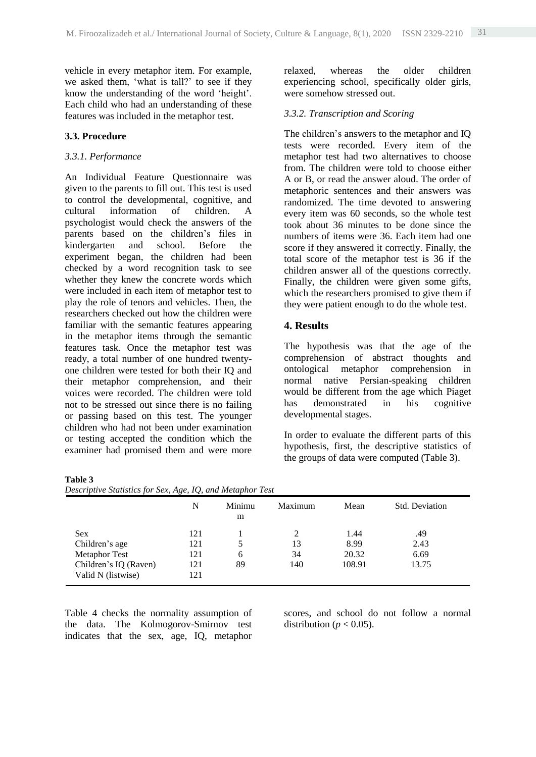vehicle in every metaphor item. For example, we asked them, 'what is tall?' to see if they know the understanding of the word 'height'. Each child who had an understanding of these features was included in the metaphor test.

#### **3.3. Procedure**

**Table 3**

#### *3.3.1. Performance*

An Individual Feature Questionnaire was given to the parents to fill out. This test is used to control the developmental, cognitive, and cultural information of children. A psychologist would check the answers of the parents based on the children's files in kindergarten and school. Before the experiment began, the children had been checked by a word recognition task to see whether they knew the concrete words which were included in each item of metaphor test to play the role of tenors and vehicles. Then, the researchers checked out how the children were familiar with the semantic features appearing in the metaphor items through the semantic features task. Once the metaphor test was ready, a total number of one hundred twentyone children were tested for both their IQ and their metaphor comprehension, and their voices were recorded. The children were told not to be stressed out since there is no failing or passing based on this test. The younger children who had not been under examination or testing accepted the condition which the examiner had promised them and were more relaxed, whereas the older children experiencing school, specifically older girls, were somehow stressed out.

#### *3.3.2. Transcription and Scoring*

The children's answers to the metaphor and IQ tests were recorded. Every item of the metaphor test had two alternatives to choose from. The children were told to choose either A or B, or read the answer aloud. The order of metaphoric sentences and their answers was randomized. The time devoted to answering every item was 60 seconds, so the whole test took about 36 minutes to be done since the numbers of items were 36. Each item had one score if they answered it correctly. Finally, the total score of the metaphor test is 36 if the children answer all of the questions correctly. Finally, the children were given some gifts, which the researchers promised to give them if they were patient enough to do the whole test.

#### **4. Results**

The hypothesis was that the age of the comprehension of abstract thoughts and ontological metaphor comprehension in normal native Persian-speaking children would be different from the age which Piaget has demonstrated in his cognitive developmental stages.

In order to evaluate the different parts of this hypothesis, first, the descriptive statistics of the groups of data were computed (Table 3).

|                       | N   | Minimu<br>m | Maximum | Mean   | <b>Std. Deviation</b> |
|-----------------------|-----|-------------|---------|--------|-----------------------|
| <b>Sex</b>            | 121 |             |         | 1.44   | .49                   |
| Children's age        | 121 | 5           | 13      | 8.99   | 2.43                  |
| <b>Metaphor Test</b>  | 121 | 6           | 34      | 20.32  | 6.69                  |
| Children's IQ (Raven) | 121 | 89          | 140     | 108.91 | 13.75                 |
| Valid N (listwise)    | 121 |             |         |        |                       |

Table 4 checks the normality assumption of the data. The Kolmogorov-Smirnov test indicates that the sex, age, IQ, metaphor scores, and school do not follow a normal distribution ( $p < 0.05$ ).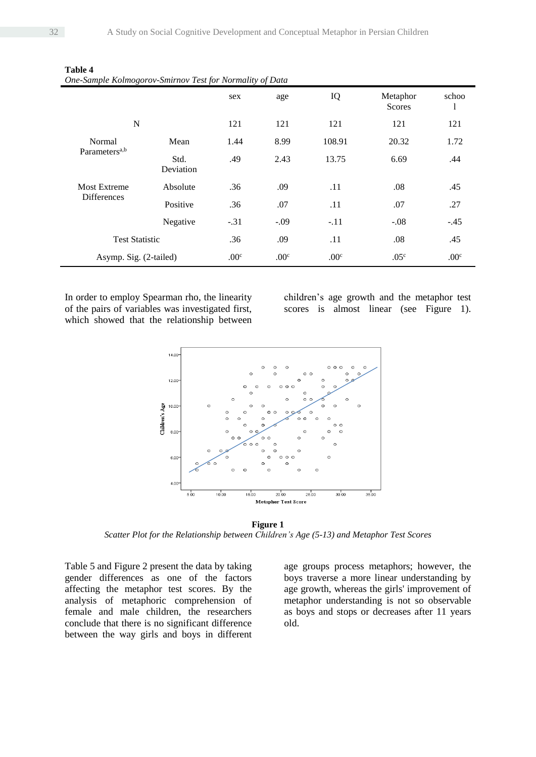| one sample Kolmozorov smartov Fest for Hormany of Bala |                   | sex              | age              | IQ               | Metaphor<br><b>Scores</b> | schoo<br>1       |
|--------------------------------------------------------|-------------------|------------------|------------------|------------------|---------------------------|------------------|
| N                                                      |                   | 121              | 121              | 121              | 121                       | 121              |
| Normal                                                 | Mean              | 1.44             | 8.99             | 108.91           | 20.32                     | 1.72             |
| Parameters <sup>a,b</sup>                              | Std.<br>Deviation | .49              | 2.43             | 13.75            | 6.69                      | .44              |
| <b>Most Extreme</b>                                    | Absolute          | .36              | .09              | .11              | .08                       | .45              |
| <b>Differences</b>                                     | Positive          | .36              | .07              | .11              | .07                       | .27              |
|                                                        | Negative          | $-.31$           | $-.09$           | $-.11$           | $-.08$                    | $-.45$           |
| <b>Test Statistic</b>                                  |                   | .36              | .09              | .11              | .08                       | .45              |
| Asymp. Sig. (2-tailed)                                 |                   | .00 <sup>c</sup> | .00 <sup>c</sup> | .00 <sup>c</sup> | .05 <sup>c</sup>          | .00 <sup>c</sup> |

**Table 4** *One-Sample Kolmogorov-Smirnov Test for Normality of Data*

In order to employ Spearman rho, the linearity of the pairs of variables was investigated first, which showed that the relationship between

children's age growth and the metaphor test scores is almost linear (see Figure 1).



**Figure 1** *Scatter Plot for the Relationship between Children's Age (5-13) and Metaphor Test Scores*

Table 5 and Figure 2 present the data by taking gender differences as one of the factors affecting the metaphor test scores. By the analysis of metaphoric comprehension of female and male children, the researchers conclude that there is no significant difference between the way girls and boys in different

age groups process metaphors; however, the boys traverse a more linear understanding by age growth, whereas the girls' improvement of metaphor understanding is not so observable as boys and stops or decreases after 11 years old.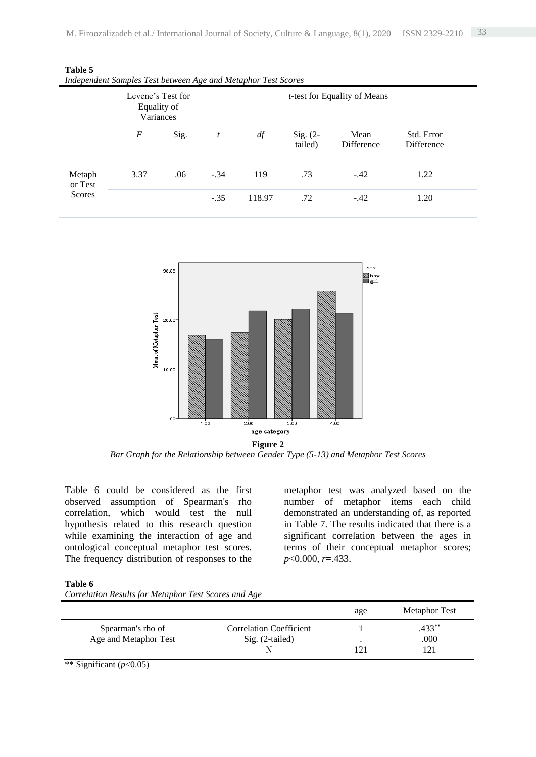| macpenaent sumples Test between tixe una metaphor Test scores |                                               |      |                                      |        |                       |                    |                          |  |
|---------------------------------------------------------------|-----------------------------------------------|------|--------------------------------------|--------|-----------------------|--------------------|--------------------------|--|
|                                                               | Levene's Test for<br>Equality of<br>Variances |      | <i>t</i> -test for Equality of Means |        |                       |                    |                          |  |
|                                                               | F                                             | Sig. | t                                    | df     | Sig. $(2-$<br>tailed) | Mean<br>Difference | Std. Error<br>Difference |  |
| Metaph<br>or Test                                             | 3.37                                          | .06  | $-.34$                               | 119    | .73                   | $-.42$             | 1.22                     |  |
| Scores                                                        |                                               |      | $-.35$                               | 118.97 | .72                   | $-.42$             | 1.20                     |  |

**Table 5** *Independent Samples Test between Age and Metaphor Test Scores*



**Figure 2** *Bar Graph for the Relationship between Gender Type (5-13) and Metaphor Test Scores*

Table 6 could be considered as the first observed assumption of Spearman's rho correlation, which would test the null hypothesis related to this research question while examining the interaction of age and ontological conceptual metaphor test scores. The frequency distribution of responses to the

metaphor test was analyzed based on the number of metaphor items each child demonstrated an understanding of, as reported in Table 7. The results indicated that there is a significant correlation between the ages in terms of their conceptual metaphor scores; *p*<0.000, *r*=.433.

#### **Table 6**

| Correlation Results for Metaphor Test Scores and Age |  |  |  |  |  |
|------------------------------------------------------|--|--|--|--|--|
|                                                      |  |  |  |  |  |

|                       |                                | age       | <b>Metaphor Test</b> |
|-----------------------|--------------------------------|-----------|----------------------|
| Spearman's rho of     | <b>Correlation Coefficient</b> |           | $.433***$            |
| Age and Metaphor Test | $Sig. (2-tailed)$              | $\bullet$ | .000                 |
|                       |                                |           | 121                  |

\*\* Significant (*p*<0.05)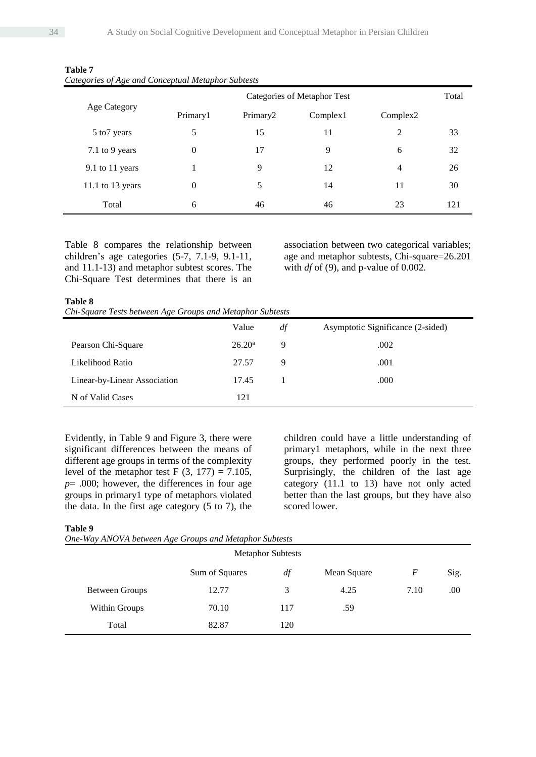|                  |              | Categories of Metaphor Test |          |          |     |  |  |
|------------------|--------------|-----------------------------|----------|----------|-----|--|--|
| Age Category     | Primary1     | Primary <sub>2</sub>        | Complex1 | Complex2 |     |  |  |
| 5 to 7 years     | 5            | 15                          | 11       | 2        | 33  |  |  |
| 7.1 to 9 years   | $\mathbf{0}$ | 17                          | 9        | 6        | 32  |  |  |
| 9.1 to 11 years  |              | 9                           | 12       | 4        | 26  |  |  |
| 11.1 to 13 years | $\mathbf{0}$ | 5                           | 14       | 11       | 30  |  |  |
| Total            | 6            | 46                          | 46       | 23       | 121 |  |  |

| Table 7 |                                                    |  |
|---------|----------------------------------------------------|--|
|         | Categories of Age and Conceptual Metaphor Subtests |  |

Table 8 compares the relationship between children's age categories (5-7, 7.1-9, 9.1-11, and 11.1-13) and metaphor subtest scores. The Chi-Square Test determines that there is an association between two categorical variables; age and metaphor subtests, Chi-square=26.201 with  $df$  of (9), and p-value of 0.002.

#### **Table 8**

| Chi-Square Tests between Age Groups and Metaphor Subtests |  |  |
|-----------------------------------------------------------|--|--|
|-----------------------------------------------------------|--|--|

|                              | Value              | df | Asymptotic Significance (2-sided) |
|------------------------------|--------------------|----|-----------------------------------|
| Pearson Chi-Square           | 26.20 <sup>a</sup> | 9  | .002                              |
| Likelihood Ratio             | 27.57              | 9  | .001                              |
| Linear-by-Linear Association | 17.45              |    | .000                              |
| N of Valid Cases             | 121                |    |                                   |

Evidently, in Table 9 and Figure 3, there were significant differences between the means of different age groups in terms of the complexity level of the metaphor test F  $(3, 177) = 7.105$ , *p*= .000; however, the differences in four age groups in primary1 type of metaphors violated the data. In the first age category (5 to 7), the

children could have a little understanding of primary1 metaphors, while in the next three groups, they performed poorly in the test. Surprisingly, the children of the last age category (11.1 to 13) have not only acted better than the last groups, but they have also scored lower.

#### **Table 9**

| One-Way ANOVA between Age Groups and Metaphor Subtests |  |  |  |
|--------------------------------------------------------|--|--|--|
|--------------------------------------------------------|--|--|--|

|                      |                | <b>Metaphor Subtests</b> |             |                  |      |
|----------------------|----------------|--------------------------|-------------|------------------|------|
|                      | Sum of Squares | df                       | Mean Square | $\boldsymbol{F}$ | Sig. |
| Between Groups       | 12.77          | 3                        | 4.25        | 7.10             | .00  |
| <b>Within Groups</b> | 70.10          | 117                      | .59         |                  |      |
| Total                | 82.87          | 120                      |             |                  |      |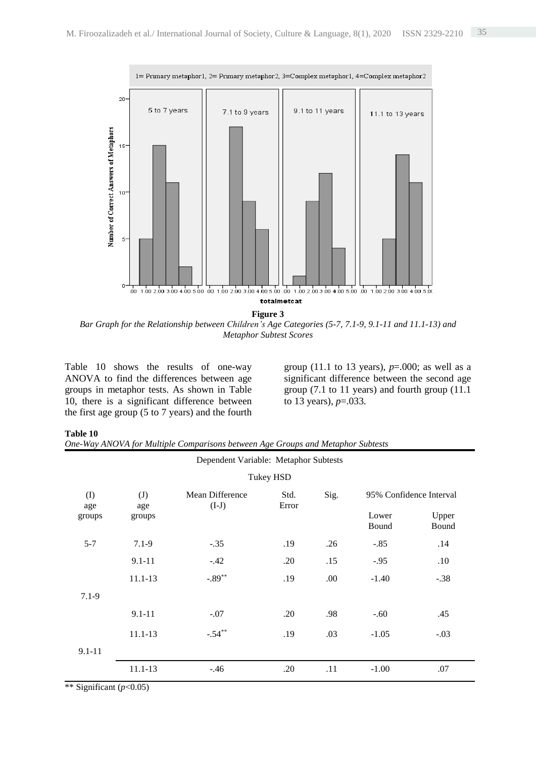

*Bar Graph for the Relationship between Children's Age Categories (5-7, 7.1-9, 9.1-11 and 11.1-13) and Metaphor Subtest Scores*

Table 10 shows the results of one-way ANOVA to find the differences between age groups in metaphor tests. As shown in Table 10, there is a significant difference between the first age group (5 to 7 years) and the fourth group (11.1 to 13 years), *p*=.000; as well as a significant difference between the second age group (7.1 to 11 years) and fourth group (11.1 to 13 years), *p*=.033.

#### **Table 10**

|  |  |  |  |  | One-Way ANOVA for Multiple Comparisons between Age Groups and Metaphor Subtests |  |
|--|--|--|--|--|---------------------------------------------------------------------------------|--|
|--|--|--|--|--|---------------------------------------------------------------------------------|--|

|            |             | Dependent Variable: Metaphor Subtests |                                                  |      |                |                |
|------------|-------------|---------------------------------------|--------------------------------------------------|------|----------------|----------------|
|            |             |                                       | Tukey HSD                                        |      |                |                |
| (I)<br>age | (J)<br>age  | Mean Difference<br>$(I-J)$            | Sig.<br>95% Confidence Interval<br>Std.<br>Error |      |                |                |
| groups     | groups      |                                       |                                                  |      | Lower<br>Bound | Upper<br>Bound |
| $5 - 7$    | $7.1 - 9$   | $-.35$                                | .19                                              | .26  | $-.85$         | .14            |
|            | $9.1 - 11$  | $-.42$                                | .20                                              | .15  | $-.95$         | .10            |
|            | $11.1 - 13$ | $-.89***$                             | .19                                              | .00. | $-1.40$        | $-.38$         |
| $7.1 - 9$  |             |                                       |                                                  |      |                |                |
|            | $9.1 - 11$  | $-.07$                                | .20                                              | .98  | $-.60$         | .45            |
|            | $11.1 - 13$ | $-.54***$                             | .19                                              | .03  | $-1.05$        | $-.03$         |
| $9.1 - 11$ |             |                                       |                                                  |      |                |                |
|            | 11.1-13     | $-.46$                                | .20                                              | .11  | $-1.00$        | .07            |

\*\* Significant (*p*<0.05)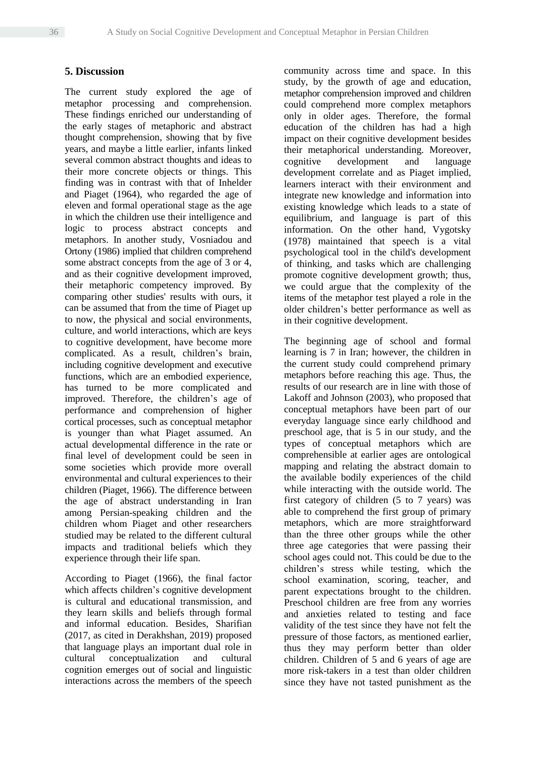### **5. Discussion**

The current study explored the age of metaphor processing and comprehension. These findings enriched our understanding of the early stages of metaphoric and abstract thought comprehension, showing that by five years, and maybe a little earlier, infants linked several common abstract thoughts and ideas to their more concrete objects or things. This finding was in contrast with that of Inhelder and Piaget (1964), who regarded the age of eleven and formal operational stage as the age in which the children use their intelligence and logic to process abstract concepts and metaphors. In another study, Vosniadou and Ortony (1986) implied that children comprehend some abstract concepts from the age of 3 or 4, and as their cognitive development improved, their metaphoric competency improved. By comparing other studies' results with ours, it can be assumed that from the time of Piaget up to now, the physical and social environments, culture, and world interactions, which are keys to cognitive development, have become more complicated. As a result, children's brain, including cognitive development and executive functions, which are an embodied experience, has turned to be more complicated and improved. Therefore, the children's age of performance and comprehension of higher cortical processes, such as conceptual metaphor is younger than what Piaget assumed. An actual developmental difference in the rate or final level of development could be seen in some societies which provide more overall environmental and cultural experiences to their children (Piaget, 1966). The difference between the age of abstract understanding in Iran among Persian-speaking children and the children whom Piaget and other researchers studied may be related to the different cultural impacts and traditional beliefs which they experience through their life span.

According to Piaget (1966), the final factor which affects children's cognitive development is cultural and educational transmission, and they learn skills and beliefs through formal and informal education. Besides, Sharifian (2017, as cited in Derakhshan, 2019) proposed that language plays an important dual role in cultural conceptualization and cultural cognition emerges out of social and linguistic interactions across the members of the speech community across time and space. In this study, by the growth of age and education, metaphor comprehension improved and children could comprehend more complex metaphors only in older ages. Therefore, the formal education of the children has had a high impact on their cognitive development besides their metaphorical understanding. Moreover, cognitive development and language development correlate and as Piaget implied, learners interact with their environment and integrate new knowledge and information into existing knowledge which leads to a state of equilibrium, and language is part of this information. On the other hand, Vygotsky (1978) maintained that speech is a vital psychological tool in the child's development of thinking, and tasks which are challenging promote cognitive development growth; thus, we could argue that the complexity of the items of the metaphor test played a role in the older children's better performance as well as in their cognitive development.

The beginning age of school and formal learning is 7 in Iran; however, the children in the current study could comprehend primary metaphors before reaching this age. Thus, the results of our research are in line with those of Lakoff and Johnson (2003), who proposed that conceptual metaphors have been part of our everyday language since early childhood and preschool age, that is 5 in our study, and the types of conceptual metaphors which are comprehensible at earlier ages are ontological mapping and relating the abstract domain to the available bodily experiences of the child while interacting with the outside world. The first category of children (5 to 7 years) was able to comprehend the first group of primary metaphors, which are more straightforward than the three other groups while the other three age categories that were passing their school ages could not. This could be due to the children's stress while testing, which the school examination, scoring, teacher, and parent expectations brought to the children. Preschool children are free from any worries and anxieties related to testing and face validity of the test since they have not felt the pressure of those factors, as mentioned earlier, thus they may perform better than older children. Children of 5 and 6 years of age are more risk-takers in a test than older children since they have not tasted punishment as the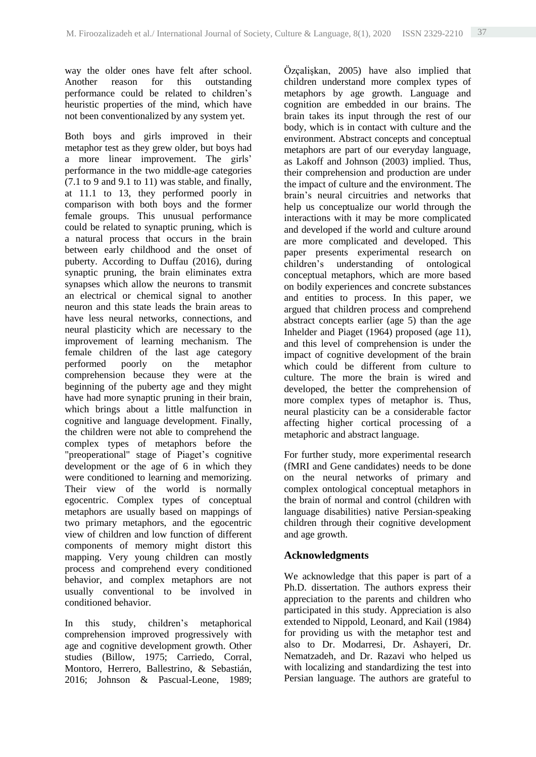way the older ones have felt after school. Another reason for this outstanding performance could be related to children's heuristic properties of the mind, which have not been conventionalized by any system yet.

Both boys and girls improved in their metaphor test as they grew older, but boys had a more linear improvement. The girls' performance in the two middle-age categories  $(7.1 \text{ to } 9 \text{ and } 9.1 \text{ to } 11)$  was stable, and finally, at 11.1 to 13, they performed poorly in comparison with both boys and the former female groups. This unusual performance could be related to synaptic pruning, which is a natural process that occurs in the brain between early childhood and the onset of puberty. According to Duffau (2016), during synaptic pruning, the brain eliminates extra synapses which allow the neurons to transmit an electrical or chemical signal to another neuron and this state leads the brain areas to have less neural networks, connections, and neural plasticity which are necessary to the improvement of learning mechanism. The female children of the last age category performed poorly on the metaphor comprehension because they were at the beginning of the puberty age and they might have had more synaptic pruning in their brain, which brings about a little malfunction in cognitive and language development. Finally, the children were not able to comprehend the complex types of metaphors before the "preoperational" stage of Piaget's cognitive development or the age of 6 in which they were conditioned to learning and memorizing. Their view of the world is normally egocentric. Complex types of conceptual metaphors are usually based on mappings of two primary metaphors, and the egocentric view of children and low function of different components of memory might distort this mapping. Very young children can mostly process and comprehend every conditioned behavior, and complex metaphors are not usually conventional to be involved in conditioned behavior.

In this study, children's metaphorical comprehension improved progressively with age and cognitive development growth. Other studies (Billow, 1975; Carriedo, Corral, Montoro, Herrero, Ballestrino, & Sebastián, 2016; Johnson & Pascual-Leone, 1989; Özçalişkan, 2005) have also implied that children understand more complex types of metaphors by age growth. Language and cognition are embedded in our brains. The brain takes its input through the rest of our body, which is in contact with culture and the environment. Abstract concepts and conceptual metaphors are part of our everyday language, as Lakoff and Johnson (2003) implied. Thus, their comprehension and production are under the impact of culture and the environment. The brain's neural circuitries and networks that help us conceptualize our world through the interactions with it may be more complicated and developed if the world and culture around are more complicated and developed. This paper presents experimental research on children's understanding of ontological conceptual metaphors, which are more based on bodily experiences and concrete substances and entities to process. In this paper, we argued that children process and comprehend abstract concepts earlier (age 5) than the age Inhelder and Piaget (1964) proposed (age 11), and this level of comprehension is under the impact of cognitive development of the brain which could be different from culture to culture. The more the brain is wired and developed, the better the comprehension of more complex types of metaphor is. Thus, neural plasticity can be a considerable factor affecting higher cortical processing of a metaphoric and abstract language.

For further study, more experimental research (fMRI and Gene candidates) needs to be done on the neural networks of primary and complex ontological conceptual metaphors in the brain of normal and control (children with language disabilities) native Persian-speaking children through their cognitive development and age growth.

# **Acknowledgments**

We acknowledge that this paper is part of a Ph.D. dissertation. The authors express their appreciation to the parents and children who participated in this study. Appreciation is also extended to Nippold, Leonard, and Kail (1984) for providing us with the metaphor test and also to Dr. Modarresi, Dr. Ashayeri, Dr. Nematzadeh, and Dr. Razavi who helped us with localizing and standardizing the test into Persian language. The authors are grateful to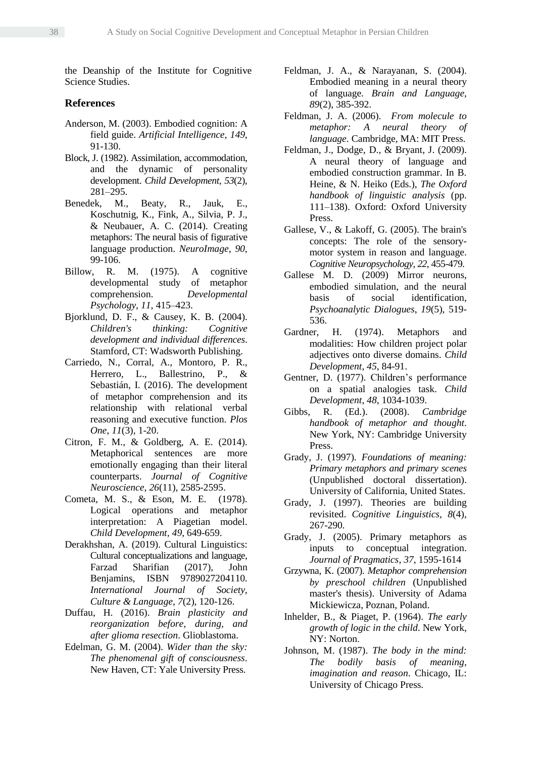the Deanship of the Institute for Cognitive Science Studies.

### **References**

- Anderson, M. (2003). Embodied cognition: A field guide. *Artificial Intelligence, 149*, 91-130.
- Block, J. (1982). Assimilation, accommodation, and the dynamic of personality development. *Child Development*, *53*(2), 281–295.
- Benedek, M., Beaty, R., Jauk, E., Koschutnig, K., Fink, A., Silvia, P. J., & Neubauer, A. C. (2014). Creating metaphors: The neural basis of figurative language production. *NeuroImage*, *90*, 99-106.
- Billow, R. M. (1975). A cognitive developmental study of metaphor comprehension. *Developmental Psychology*, *11*, 415–423.
- Bjorklund, D. F., & Causey, K. B. (2004). *Children's thinking: Cognitive development and individual differences*. Stamford, CT: Wadsworth Publishing.
- Carriedo, N., Corral, A., Montoro, P. R., Herrero, L., Ballestrino, P., & Sebastián, I. (2016). The development of metaphor comprehension and its relationship with relational verbal reasoning and executive function. *Plos One*, *11*(3), 1-20.
- Citron, F. M., & Goldberg, A. E. (2014). Metaphorical sentences are more emotionally engaging than their literal counterparts. *Journal of Cognitive Neuroscience*, *26*(11), 2585-2595.
- Cometa, M. S., & Eson, M. E. (1978). Logical operations and metaphor interpretation: A Piagetian model. *Child Development*, *49*, 649-659.
- Derakhshan, A. (2019). Cultural Linguistics: Cultural conceptualizations and language, Farzad Sharifian (2017), John Benjamins, ISBN 9789027204110. *International Journal of Society, Culture & Language*, *7*(2), 120-126.
- Duffau, H. (2016). *Brain plasticity and reorganization before, during, and after glioma resection*. Glioblastoma.
- Edelman, G. M. (2004). *Wider than the sky: The phenomenal gift of consciousness*. New Haven, CT: Yale University Press.
- Feldman, J. A., & Narayanan, S. (2004). Embodied meaning in a neural theory of language. *Brain and Language, 89*(2), 385-392.
- Feldman, J. A. (2006). *From molecule to metaphor: A neural theory of language*. Cambridge, MA: MIT Press.
- Feldman, J., Dodge, D., & Bryant, J. (2009). A neural theory of language and embodied construction grammar. In B. Heine, & N. Heiko (Eds.), *The Oxford handbook of linguistic analysis* (pp. 111–138). Oxford: Oxford University Press.
- Gallese, V., & Lakoff, G. (2005). The brain's concepts: The role of the sensorymotor system in reason and language. *Cognitive Neuropsychology*, *22*, 455-479.
- Gallese M. D. (2009) Mirror neurons, embodied simulation, and the neural basis of social identification, *Psychoanalytic Dialogues*, *19*(5), 519- 536.<br>er. H.
- Gardner, H. (1974). Metaphors and modalities: How children project polar adjectives onto diverse domains. *Child Development*, *45*, 84-91.
- Gentner, D. (1977). Children's performance on a spatial analogies task. *Child Development*, *48*, 1034-1039.
- Gibbs, R. (Ed.). (2008). *Cambridge handbook of metaphor and thought*. New York, NY: Cambridge University Press.
- Grady, J. (1997). *Foundations of meaning: Primary metaphors and primary scenes* (Unpublished doctoral dissertation). University of California, United States.
- Grady, J. (1997). Theories are building revisited. *Cognitive Linguistics, 8*(4), 267-290*.*
- Grady, J. (2005). Primary metaphors as inputs to conceptual integration. *Journal of Pragmatics*, *37*, 1595-1614
- Grzywna, K. (2007). *Metaphor comprehension by preschool children* (Unpublished master's thesis). University of Adama Mickiewicza, Poznan, Poland.
- Inhelder, B., & Piaget, P. (1964). *The early growth of logic in the child*. New York, NY: Norton.
- Johnson, M. (1987). *The body in the mind: The bodily basis of meaning, imagination and reason*. Chicago, IL: University of Chicago Press.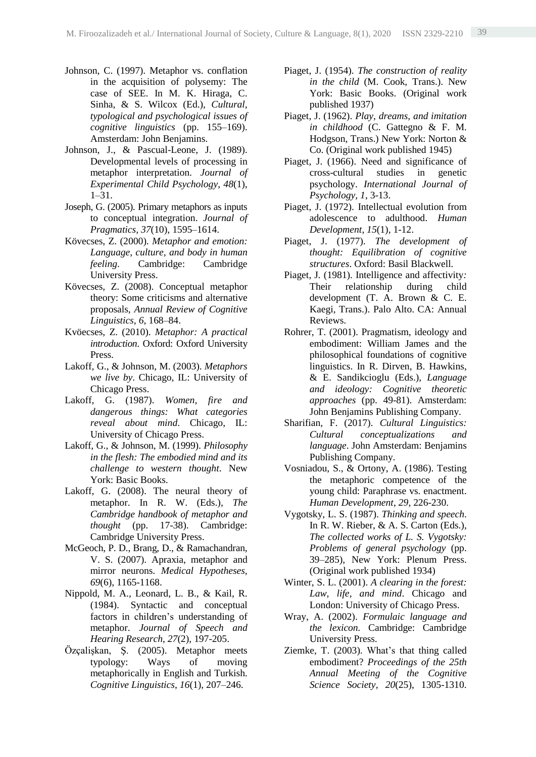- Johnson, C. (1997). Metaphor vs. conflation in the acquisition of polysemy: The case of SEE. In M. K. Hiraga, C. Sinha, & S. Wilcox (Ed.), *Cultural, typological and psychological issues of cognitive linguistics* (pp. 155–169). Amsterdam: John Benjamins.
- Johnson, J., & Pascual-Leone, J. (1989). Developmental levels of processing in metaphor interpretation. *Journal of Experimental Child Psychology*, *48*(1), 1–31.
- Joseph, G. (2005). Primary metaphors as inputs to conceptual integration. *Journal of Pragmatics, 37*(10), 1595–1614.
- Kövecses, Z. (2000). *Metaphor and emotion: Language, culture, and body in human feeling*. Cambridge: Cambridge University Press.
- Kövecses, Z. (2008). Conceptual metaphor theory: Some criticisms and alternative proposals, *Annual Review of Cognitive Linguistics, 6*, 168–84.
- Kvöecses, Z. (2010). *Metaphor: A practical introduction*. Oxford: Oxford University Press.
- Lakoff, G., & Johnson, M. (2003). *Metaphors we live by*. Chicago, IL: University of Chicago Press.
- Lakoff, G. (1987). *Women, fire and dangerous things: What categories reveal about mind*. Chicago, IL: University of Chicago Press.
- Lakoff, G., & Johnson, M. (1999). *Philosophy in the flesh: The embodied mind and its challenge to western thought*. New York: Basic Books.
- Lakoff, G. (2008). The neural theory of metaphor. In R. W. (Eds.), *The Cambridge handbook of metaphor and thought* (pp. 17-38). Cambridge: Cambridge University Press.
- McGeoch, P. D., Brang, D., & Ramachandran, V. S. (2007). Apraxia, metaphor and mirror neurons. *Medical Hypotheses*, *69*(6), 1165-1168.
- Nippold, M. A., Leonard, L. B., & Kail, R. (1984). Syntactic and conceptual factors in children's understanding of metaphor. *Journal of Speech and Hearing Research*, *27*(2), 197-205.
- Özçalişkan, Ş. (2005). Metaphor meets typology: Ways of moving metaphorically in English and Turkish. *Cognitive Linguistics*, *16*(1), 207–246.
- Piaget, J. (1954). *The construction of reality in the child* (M. Cook, Trans.). New York: Basic Books. (Original work published 1937)
- Piaget, J. (1962). *Play, dreams, and imitation in childhood* (C. Gattegno & F. M. Hodgson, Trans.) New York: Norton & Co. (Original work published 1945)
- Piaget, J. (1966). Need and significance of cross-cultural studies in genetic psychology. *International Journal of Psychology, 1*, 3-13.
- Piaget, J. (1972). Intellectual evolution from adolescence to adulthood. *Human Development*, *15*(1), 1-12.
- Piaget, J. (1977). *The development of thought: Equilibration of cognitive structures*. Oxford: Basil Blackwell.
- Piaget*,* J*.* (1981)*.* Intelligence and affectivity*:* Their relationship during child development (T. A. Brown & C. E. Kaegi*,* Trans.). Palo Alto. CA: Annual Reviews.
- Rohrer, T. (2001). Pragmatism, ideology and embodiment: William James and the philosophical foundations of cognitive linguistics. In R. Dirven, B. Hawkins, & E. Sandikcioglu (Eds.), *Language and ideology: Cognitive theoretic approaches* (pp. 49-81). Amsterdam: John Benjamins Publishing Company.
- Sharifian, F. (2017). *Cultural Linguistics: Cultural conceptualizations and language*. John Amsterdam: Benjamins Publishing Company.
- Vosniadou, S., & Ortony, A. (1986). Testing the metaphoric competence of the young child: Paraphrase vs. enactment. *Human Development*, *29*, 226-230.
- Vygotsky, L. S. (1987). *Thinking and speech*. In R. W. Rieber, & A. S. Carton (Eds.), *The collected works of L. S. Vygotsky: Problems of general psychology* (pp. 39–285), New York: Plenum Press. (Original work published 1934)
- Winter, S. L. (2001). *A clearing in the forest: Law, life, and mind*. Chicago and London: University of Chicago Press.
- Wray, A. (2002). *Formulaic language and the lexicon.* Cambridge: Cambridge University Press.
- Ziemke, T. (2003). What's that thing called embodiment? *Proceedings of the 25th Annual Meeting of the Cognitive Science Society*, *20*(25), 1305-1310.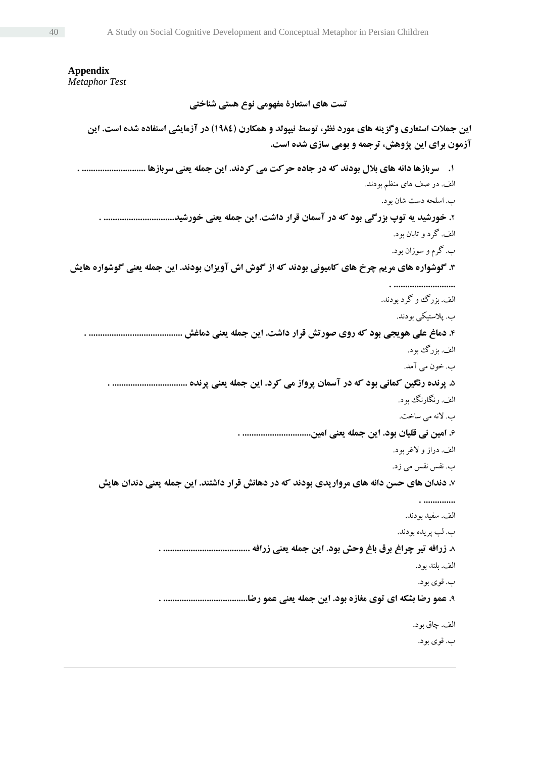**Appendix** *Metaphor Test* **تست های استعارۀ مفهومی نوع هستی شناختی این جمالت استعاری وگزینه های مورد نظر، توسط نیپولد و همکارن )1984( در آزمایشی استفاده شده است. این آزمون برای این پژوهش، ترجمه و بومی سازی شده است. .1 سربازها دانه های بالل بودند که در جاده حرکت می کردند. این جمله یعنی سربازها ............................ .** الف. در صف های منظم بودند. ب. اسلحه دست شان بود. **.**2 **خورشید یه توپ بزرگی بود که در آسمان قرار داشت. این جمله یعنی خورشید............................... .** الف. گرد و تابان بود. ب. گرم و سوزان بود. **.**3 **گوشواره های مریم چرخ های کامیونی بودند که از گوش اش آویزان بودند. این جمله یعنی گوشواره هایش . ...........................** الف. بزرگ و گرد بودند. ب. پالستیکی بودند. **.**4 **دماغ علی هویجی بود که روی صورتش قرار داشت. این جمله یعنی دماغش ......................................... .** الف. بزرگ بود. ب. خون می آمد. **.**5 **پرنده رنگین کمانی بود که در آسمان پرواز می کرد. این جمله یعنی پرنده ................................. .** الف. رنگارنگ بود. ب. النه می ساخت. **.**6 **امین نی قلیان بود. این جمله یعنی امین.............................. .** الف. دراز و الغر بود. ب. نفس نفس می زد. **.**7 **دندان های حسن دانه های مرواریدی بودند که در دهانش قرار داشتند. این جمله یعنی دندان هایش . ..............** الف. سفید بودند. ب. لب پریده بودند. **.**8 **زرافه تیر چراغ برق باغ وحش بود. این جمله یعنی زرافه ...................................... .** الف. بلند بود. ب. قوی بود. **.**9 **عمو رضا بشکه ای توی مغازه بود. این جمله یعنی عمو رضا..................................... .** الف. چاق بود. ب. قوی بود.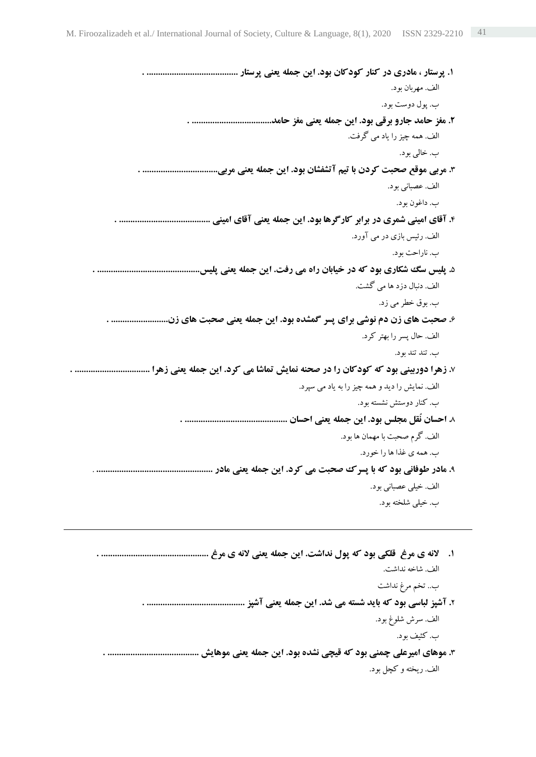**.1 پرستار ، مادری در کنار کودکان بود. این جمله یعنی پرستار ........................................ .** الف. مهربان بود. ب. پول دوست بود. **.2 مغز حامد جارو برقی بود. این جمله یعنی مغز حامد................................... .** الف. همه چیز را یاد می گرفت. ب. خالی بود. **.**3 **مربی موقع صحبت کردن با تیم آتشفشان بود. این جمله یعنی مربی................................. .**  الف. عصبانی بود. ب. داغون بود. **.**4 **آقای امینی شمری در برابر کارگرها بود. این جمله یعنی آقای امینی ........................................ .** الف. رئیس بازی در می آورد. ب. ناراحت بود. **.**5 **پلیس سگ شکاری بود که در خیابان راه می رفت. این جمله یعنی پلیس............................................. .** الف. دنبال دزد ها می گشت. ب. بوق خطر می زد. **.**6 **صحبت های زن دم نوشی برای پسر گمشده بود. این جمله یعنی صحبت های زن......................... .** الف. حال پسر را بهتر کرد. ب. تند تند بود. **.**7 **زهرا دوربینی بود که کودکان را در صحنه نمایش تماشا می کرد. این جمله یعنی زهرا ................................. .** الف. نمایش را دید و همه چیز را به یاد می سپرد. ب. کنار دوستش نشسته بود. **.**8 **احسان نُقل مجلس بود. این جمله یعنی احسان ............................................. .** الف. گرم صحبت با مهمان ها بود. ب. همه ی غذا ها را خورد. **.**9 **مادر طوفانی بود که با پسرک صحبت می کرد. این جمله یعنی مادر ...................................................** . الف. خیلی عصبانی بود. ب. خیلی شلخته بود. **.1 النه ی مرغ قلکی بود که پول نداشت. این جمله یعنی النه ی مرغ ............................................... .** الف. شاخه نداشت.

- ب.. تخم مرغ نداشت **.**2 **آشپز لباسی بود که باید شسته می شد. این جمله یعنی آشپز ........................................... .** الف. سرش شلوغ بود. ب. کثیف بود.
- **.**3 **موهای امیرعلی چمنی بود که قیچی نشده بود. این جمله یعنی موهایش ........................................ .** الف. ریخته و کچل بود.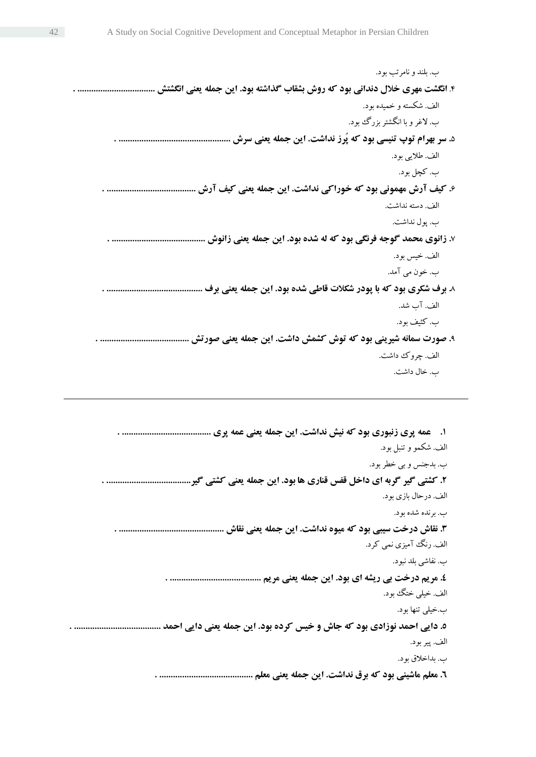ب. بلند و نامرتب بود. .4 **انگشت مهری خالل دندانی بود که روش بشقاب گذاشته بود. این جمله یعنی انگشتش .................................. .** الف. شکستهو خمیده بود. ب. الغر و با انگشتر بزرگ بود. **.**5 **سر بهرام توپ تنیسی بود که پُرز نداشت. این جمله یعنی سرش ................................................. .** الف. طالیی بود. ب. کچل بود. **.**6 **کیف آرش مهمونی بود که خوراکی نداشت. این جمله یعنی کیف آرش ....................................... .** الف. دسته نداشت. ب. پول نداشت. **.**7 **زانوی محمد گوجه فرنگی بود که له شده بود. این جمله یعنی زانوش ......................................... .** الف. خیس بود. ب. خون می آمد. **.**8 **برف شکری بود که با پودر شکالت قاطی شده بود. این جمله یعنی برف .......................................... .** الف. آب شد. ب. کثیف بود. **.**9 **صورت سمانه شیرینی بود که توش کشمش داشت. این جمله یعنی صورتش ....................................... .** الف. چروک داشت. ب. خال داشت.

| ۱. ٪ عمه پری زنبوری بود که نیش نداشت. این جمله یعنی عمه پری            |
|------------------------------------------------------------------------|
| الف. شكمو و تنبل بود.                                                  |
| ب. بدجنس و بي خطر بود.                                                 |
| ۲. کشتی گیر گربه ای داخل قفس قناری ها بود. این جمله یعنی کشتی گیر.     |
| الف. درحال بازي بود.                                                   |
| ب. برنده شده بود.                                                      |
| ۳. نقاش درخت سیبی بود که میوه نداشت. این جمله یعنی نقاش                |
| الف. رنگ آمیزی نمی کرد.                                                |
| ب. نفاشي بلد نبود.                                                     |
| ٤. مريم درخت بي ريشه اي بود. اين جمله يعني مريم                        |
| الف. خيلي ختگ بود.                                                     |
| ب.خیلی تنها بود.                                                       |
| ٥. دایی احمد نوزادی بود که جاش و خیس کرده بود. این جمله یعنی دایی احمد |
| الف. پير بود.                                                          |
| ب. بداخلاق بود.                                                        |
| ٦. معلم ماشینی بود که برق نداشت. این جمله یعنی معلم                    |